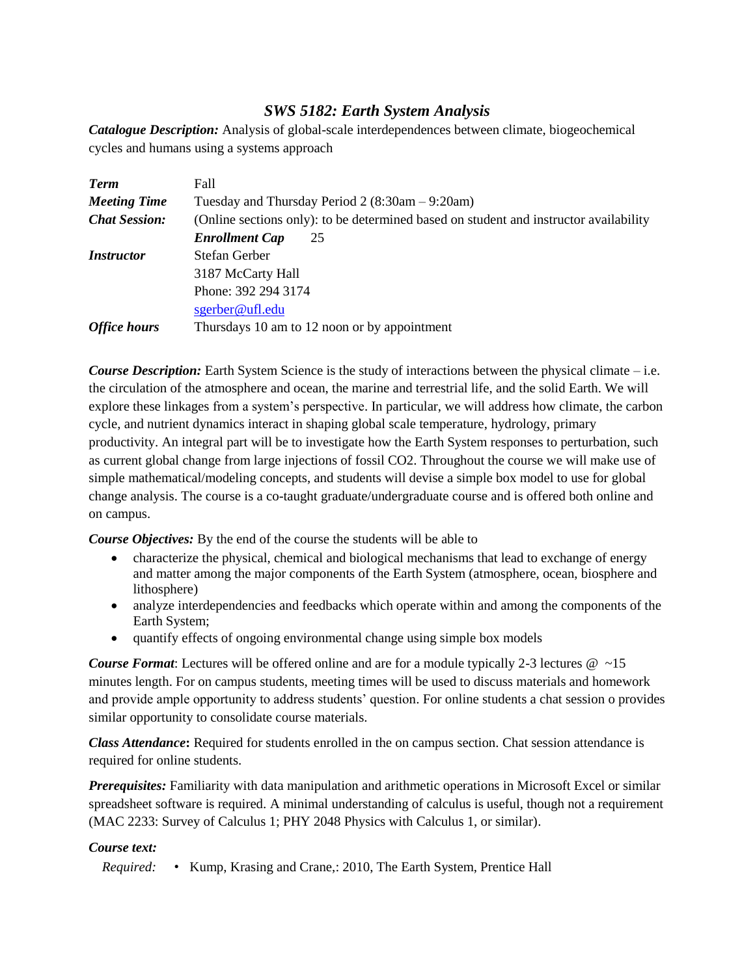# *SWS 5182: Earth System Analysis*

*Catalogue Description:* Analysis of global-scale interdependences between climate, biogeochemical cycles and humans using a systems approach

| <b>Term</b>          | Fall                                                                                  |  |  |  |  |  |
|----------------------|---------------------------------------------------------------------------------------|--|--|--|--|--|
| <b>Meeting Time</b>  | Tuesday and Thursday Period $2(8:30am - 9:20am)$                                      |  |  |  |  |  |
| <b>Chat Session:</b> | (Online sections only): to be determined based on student and instructor availability |  |  |  |  |  |
|                      | <b>Enrollment Cap</b><br>25                                                           |  |  |  |  |  |
| <i>Instructor</i>    | Stefan Gerber                                                                         |  |  |  |  |  |
|                      | 3187 McCarty Hall                                                                     |  |  |  |  |  |
|                      | Phone: 392 294 3174                                                                   |  |  |  |  |  |
|                      | sgerber@ufl.edu                                                                       |  |  |  |  |  |
| <b>Office hours</b>  | Thursdays 10 am to 12 noon or by appointment                                          |  |  |  |  |  |

*Course Description:* Earth System Science is the study of interactions between the physical climate – i.e. the circulation of the atmosphere and ocean, the marine and terrestrial life, and the solid Earth. We will explore these linkages from a system's perspective. In particular, we will address how climate, the carbon cycle, and nutrient dynamics interact in shaping global scale temperature, hydrology, primary productivity. An integral part will be to investigate how the Earth System responses to perturbation, such as current global change from large injections of fossil CO2. Throughout the course we will make use of simple mathematical/modeling concepts, and students will devise a simple box model to use for global change analysis. The course is a co-taught graduate/undergraduate course and is offered both online and on campus.

*Course Objectives:* By the end of the course the students will be able to

- characterize the physical, chemical and biological mechanisms that lead to exchange of energy and matter among the major components of the Earth System (atmosphere, ocean, biosphere and lithosphere)
- analyze interdependencies and feedbacks which operate within and among the components of the Earth System;
- quantify effects of ongoing environmental change using simple box models

*Course Format*: Lectures will be offered online and are for a module typically 2-3 lectures  $\omega \sim 15$ minutes length. For on campus students, meeting times will be used to discuss materials and homework and provide ample opportunity to address students' question. For online students a chat session o provides similar opportunity to consolidate course materials.

*Class Attendance***:** Required for students enrolled in the on campus section. Chat session attendance is required for online students.

*Prerequisites:* Familiarity with data manipulation and arithmetic operations in Microsoft Excel or similar spreadsheet software is required. A minimal understanding of calculus is useful, though not a requirement (MAC 2233: Survey of Calculus 1; PHY 2048 Physics with Calculus 1, or similar).

# *Course text:*

*Required:* • Kump, Krasing and Crane,: 2010, The Earth System, Prentice Hall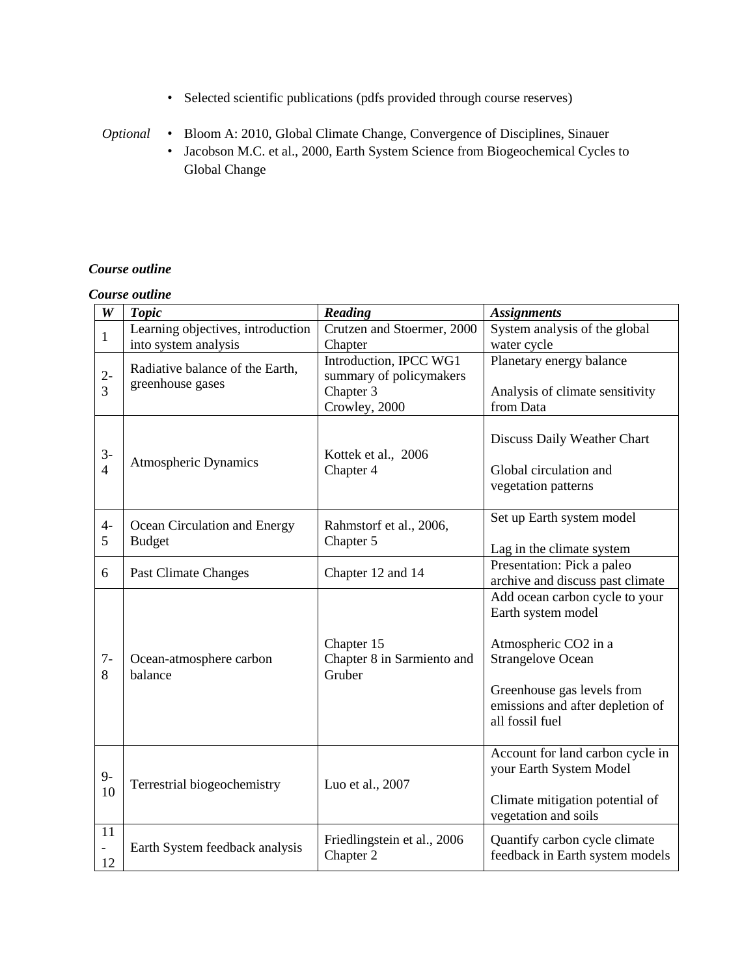- Selected scientific publications (pdfs provided through course reserves)
- *Optional* Bloom A: 2010, Global Climate Change, Convergence of Disciplines, Sinauer
	- Jacobson M.C. et al., 2000, Earth System Science from Biogeochemical Cycles to Global Change

### *Course outline*

### *Course outline*

| $\boldsymbol{W}$       | <b>Topic</b>                                                                | Reading                                                                                    | <b>Assignments</b>                                                                                                                                                                            |  |  |
|------------------------|-----------------------------------------------------------------------------|--------------------------------------------------------------------------------------------|-----------------------------------------------------------------------------------------------------------------------------------------------------------------------------------------------|--|--|
| $\mathbf{1}$           | Learning objectives, introduction                                           | Crutzen and Stoermer, 2000                                                                 | System analysis of the global                                                                                                                                                                 |  |  |
| $2-$<br>3              | into system analysis<br>Radiative balance of the Earth,<br>greenhouse gases | Chapter<br>Introduction, IPCC WG1<br>summary of policymakers<br>Chapter 3<br>Crowley, 2000 | water cycle<br>Planetary energy balance<br>Analysis of climate sensitivity<br>from Data                                                                                                       |  |  |
| $3-$<br>$\overline{4}$ | <b>Atmospheric Dynamics</b>                                                 | Kottek et al., 2006<br>Chapter 4                                                           | Discuss Daily Weather Chart<br>Global circulation and<br>vegetation patterns                                                                                                                  |  |  |
| $4-$<br>5              | Ocean Circulation and Energy<br><b>Budget</b>                               | Rahmstorf et al., 2006,<br>Chapter 5                                                       | Set up Earth system model<br>Lag in the climate system                                                                                                                                        |  |  |
| 6                      | <b>Past Climate Changes</b>                                                 | Chapter 12 and 14                                                                          | Presentation: Pick a paleo<br>archive and discuss past climate                                                                                                                                |  |  |
| $7-$<br>8              | Ocean-atmosphere carbon<br>balance                                          | Chapter 15<br>Chapter 8 in Sarmiento and<br>Gruber                                         | Add ocean carbon cycle to your<br>Earth system model<br>Atmospheric CO2 in a<br><b>Strangelove Ocean</b><br>Greenhouse gas levels from<br>emissions and after depletion of<br>all fossil fuel |  |  |
| $9-$<br>10             | Terrestrial biogeochemistry                                                 | Luo et al., 2007                                                                           | Account for land carbon cycle in<br>your Earth System Model<br>Climate mitigation potential of<br>vegetation and soils                                                                        |  |  |
| 11<br>12               | Earth System feedback analysis                                              | Friedlingstein et al., 2006<br>Chapter 2                                                   | Quantify carbon cycle climate<br>feedback in Earth system models                                                                                                                              |  |  |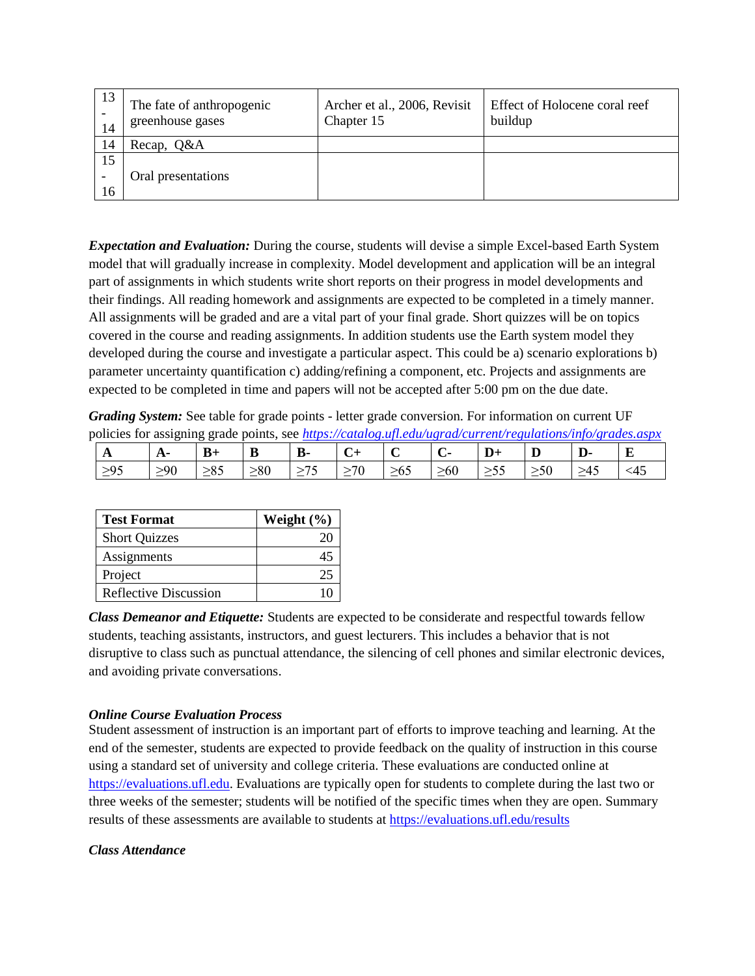| 13<br>14 | The fate of anthropogenic<br>greenhouse gases | Archer et al., 2006, Revisit<br>Chapter 15 | Effect of Holocene coral reef<br>buildup |  |  |
|----------|-----------------------------------------------|--------------------------------------------|------------------------------------------|--|--|
| 14       | Recap, Q&A                                    |                                            |                                          |  |  |
| 15       |                                               |                                            |                                          |  |  |
|          | Oral presentations                            |                                            |                                          |  |  |
| 16       |                                               |                                            |                                          |  |  |

*Expectation and Evaluation:* During the course, students will devise a simple Excel-based Earth System model that will gradually increase in complexity. Model development and application will be an integral part of assignments in which students write short reports on their progress in model developments and their findings. All reading homework and assignments are expected to be completed in a timely manner. All assignments will be graded and are a vital part of your final grade. Short quizzes will be on topics covered in the course and reading assignments. In addition students use the Earth system model they developed during the course and investigate a particular aspect. This could be a) scenario explorations b) parameter uncertainty quantification c) adding/refining a component, etc. Projects and assignments are expected to be completed in time and papers will not be accepted after 5:00 pm on the due date.

*Grading System:* See table for grade points - letter grade conversion. For information on current UF policies for assigning grade points, see *<https://catalog.ufl.edu/ugrad/current/regulations/info/grades.aspx>*

| $\mathbf{A}$ | $A^-$     | $B+$      | B           | D-        |           |           | ∪-        | $\mathbf{D}+$<br>$\overline{\phantom{0}}$ | IJ       | D-        | $\bf{E}$  |
|--------------|-----------|-----------|-------------|-----------|-----------|-----------|-----------|-------------------------------------------|----------|-----------|-----------|
| $\geq 95$    | $\geq 90$ | $\geq 85$ | $_{\geq}80$ | $\leq$ /2 | $\geq 70$ | $\geq 65$ | $\geq 60$ | ≥55                                       | $\geq$ 0 | $\geq 45$ | $\leq$ 45 |

| <b>Test Format</b>    | Weight $(\% )$ |
|-----------------------|----------------|
| <b>Short Quizzes</b>  |                |
| Assignments           |                |
| Project               |                |
| Reflective Discussion |                |

*Class Demeanor and Etiquette:* Students are expected to be considerate and respectful towards fellow students, teaching assistants, instructors, and guest lecturers. This includes a behavior that is not disruptive to class such as punctual attendance, the silencing of cell phones and similar electronic devices, and avoiding private conversations.

# *Online Course Evaluation Process*

Student assessment of instruction is an important part of efforts to improve teaching and learning. At the end of the semester, students are expected to provide feedback on the quality of instruction in this course using a standard set of university and college criteria. These evaluations are conducted online at [https://evaluations.ufl.edu.](https://evaluations.ufl.edu/) Evaluations are typically open for students to complete during the last two or three weeks of the semester; students will be notified of the specific times when they are open. Summary results of these assessments are available to students at<https://evaluations.ufl.edu/results>

### *Class Attendance*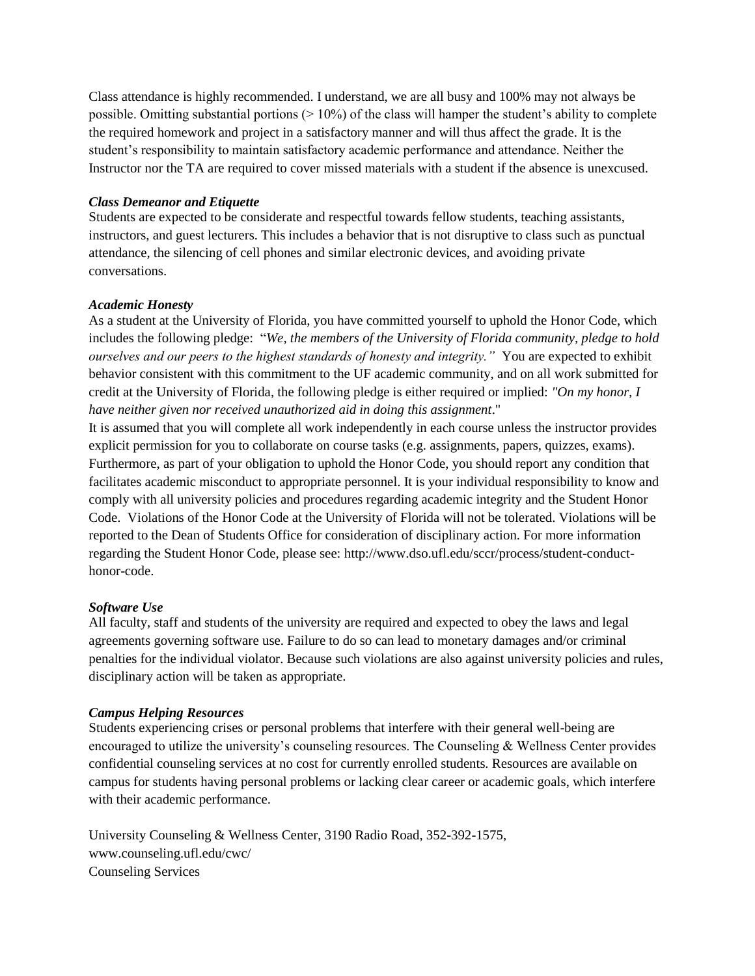Class attendance is highly recommended. I understand, we are all busy and 100% may not always be possible. Omitting substantial portions  $(>10\%)$  of the class will hamper the student's ability to complete the required homework and project in a satisfactory manner and will thus affect the grade. It is the student's responsibility to maintain satisfactory academic performance and attendance. Neither the Instructor nor the TA are required to cover missed materials with a student if the absence is unexcused.

### *Class Demeanor and Etiquette*

Students are expected to be considerate and respectful towards fellow students, teaching assistants, instructors, and guest lecturers. This includes a behavior that is not disruptive to class such as punctual attendance, the silencing of cell phones and similar electronic devices, and avoiding private conversations.

### *Academic Honesty*

As a student at the University of Florida, you have committed yourself to uphold the Honor Code, which includes the following pledge: "*We, the members of the University of Florida community, pledge to hold ourselves and our peers to the highest standards of honesty and integrity."* You are expected to exhibit behavior consistent with this commitment to the UF academic community, and on all work submitted for credit at the University of Florida, the following pledge is either required or implied: *"On my honor, I have neither given nor received unauthorized aid in doing this assignment*."

It is assumed that you will complete all work independently in each course unless the instructor provides explicit permission for you to collaborate on course tasks (e.g. assignments, papers, quizzes, exams). Furthermore, as part of your obligation to uphold the Honor Code, you should report any condition that facilitates academic misconduct to appropriate personnel. It is your individual responsibility to know and comply with all university policies and procedures regarding academic integrity and the Student Honor Code. Violations of the Honor Code at the University of Florida will not be tolerated. Violations will be reported to the Dean of Students Office for consideration of disciplinary action. For more information regarding the Student Honor Code, please see: [http://www.dso.ufl.edu/sccr/process/student-conduct](http://www.dso.ufl.edu/sccr/process/student-conduct-honor-code)[honor-code.](http://www.dso.ufl.edu/sccr/process/student-conduct-honor-code)

# *Software Use*

All faculty, staff and students of the university are required and expected to obey the laws and legal agreements governing software use. Failure to do so can lead to monetary damages and/or criminal penalties for the individual violator. Because such violations are also against university policies and rules, disciplinary action will be taken as appropriate.

# *Campus Helping Resources*

Students experiencing crises or personal problems that interfere with their general well-being are encouraged to utilize the university's counseling resources. The Counseling & Wellness Center provides confidential counseling services at no cost for currently enrolled students. Resources are available on campus for students having personal problems or lacking clear career or academic goals, which interfere with their academic performance.

University Counseling & Wellness Center, 3190 Radio Road, 352-392-1575, www.counseling.ufl.edu/cwc/ Counseling Services